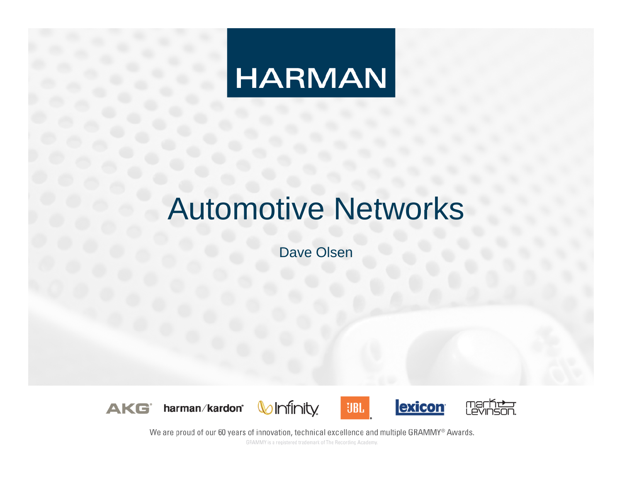# **HARMAN**

# Automotive Networks

Dave Olsen









We are proud of our 60 years of innovation, technical excellence and multiple GRAMMY® Awards.

GRAMMY is a registered trademark of The Recording Academy.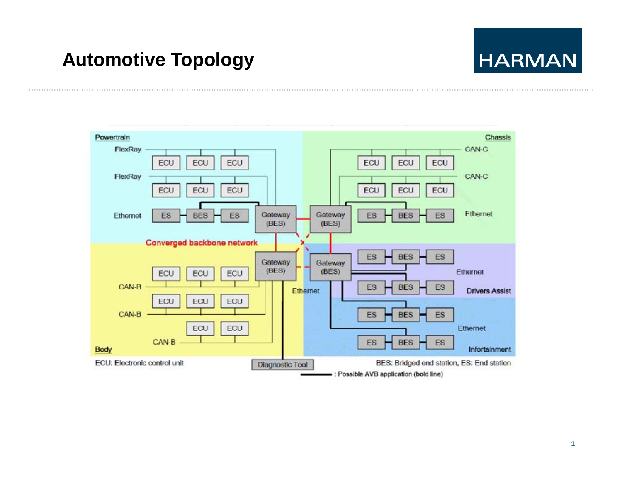#### **Automotive Topology**

# **HARMAN**

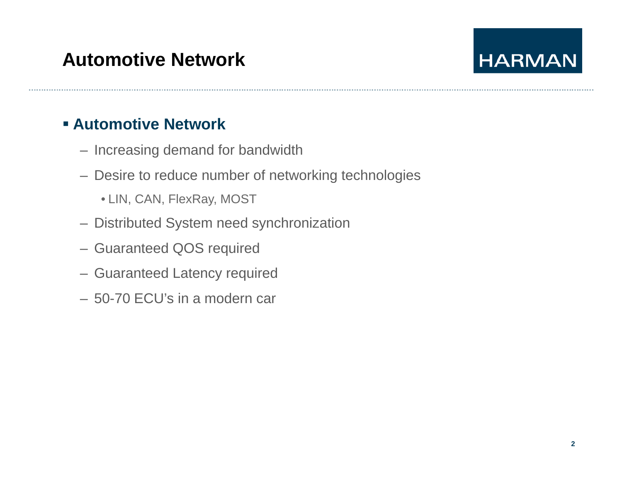# **HARMAN**

#### **Automotive Network**

- Increasing demand for bandwidth
- Desire to reduce number of networking technologies
	- LIN, CAN, FlexRay, MOST
- Distributed System need synchronization
- Guaranteed QOS required
- Guaranteed Latency required
- 50-70 ECU's in a modern car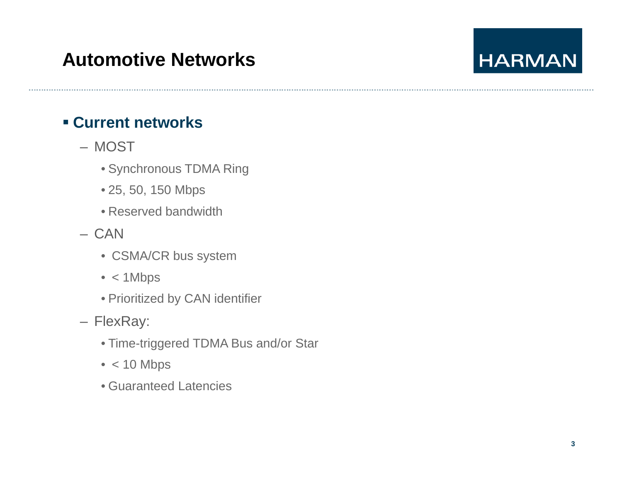# **Automotive Networks**

# **HARMAN**

#### **Current networks**

- MOST
	- Synchronous TDMA Ring
	- 25, 50, 150 Mbps
	- Reserved bandwidth
- CAN
	- CSMA/CR bus system
	- < 1Mbps
	- Prioritized by CAN identifier
- FlexRay:
	- Time-triggered TDMA Bus and/or Star
	- < 10 Mbps
	- Guaranteed Latencies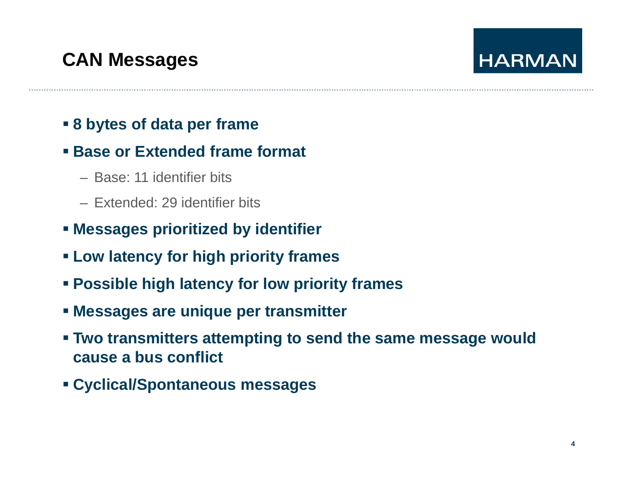# **CAN Messages**

# **HARMAN**

#### **8 bytes of data per frame**

#### **Base or Extended frame format**

- Base: 11 identifier bits
- Extended: 29 identifier bits
- **Messages prioritized by identifier**
- **Low latency for high priority frames**
- **Possible high latency for low priority frames**
- **Messages are unique per transmitter**
- **Two transmitters attempting to send the same message would cause a bus conflict**
- **Cyp g clical/Spontaneous messages**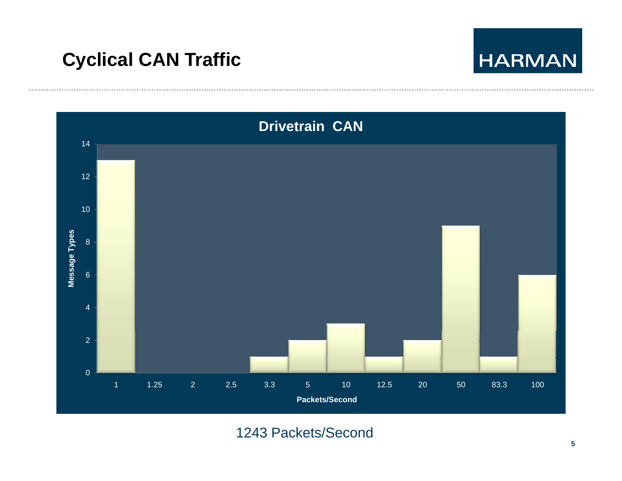



1243 Packets/Second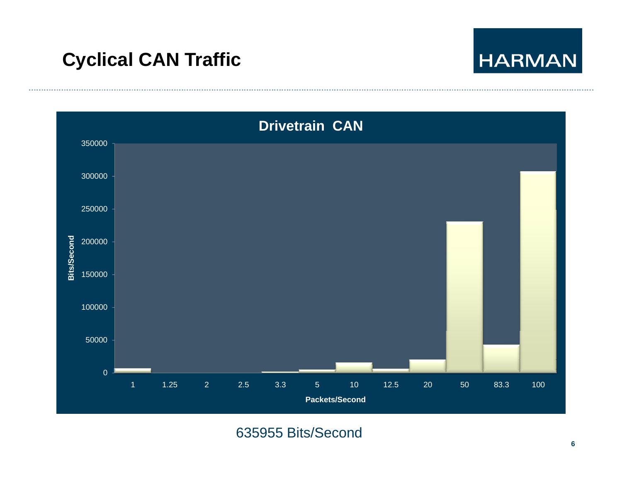



635955 Bits/Second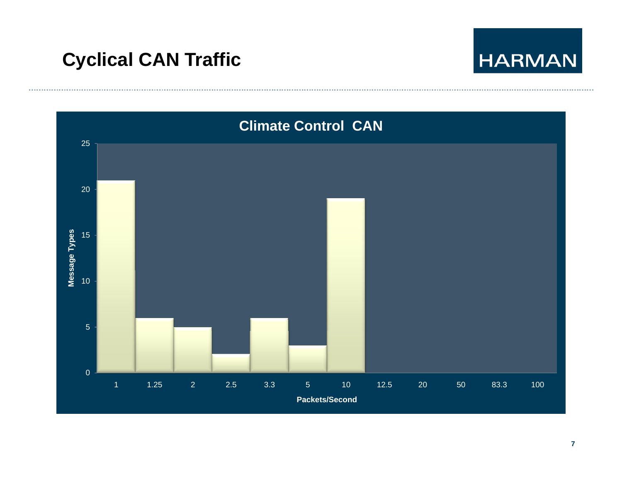......................



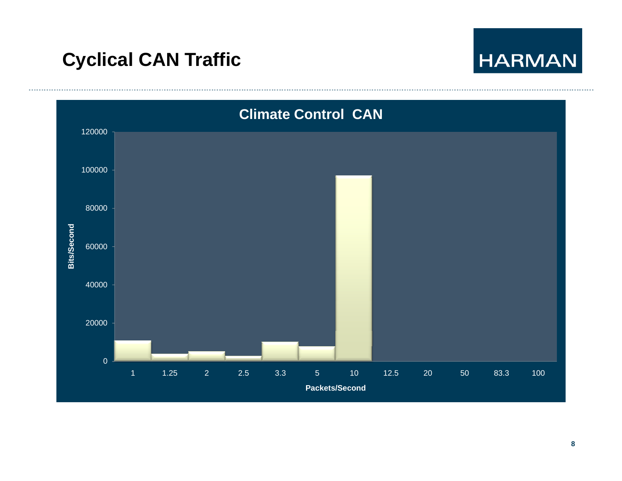

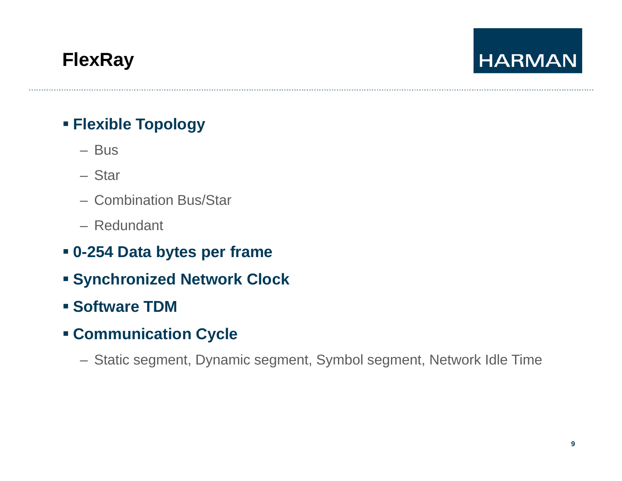# **FlexRay**

# **HARMAN**

#### **Flexible Topology**

- Bus
- Star
- Combination Bus/Star
- Redundant
- **0-254 Data bytes per frame**
- **Synchronized Network Clock**
- **Software TDM**
- **Comm nication C cle Communication Cycle**
	- Static segment, Dynamic segment, Symbol segment, Network Idle Time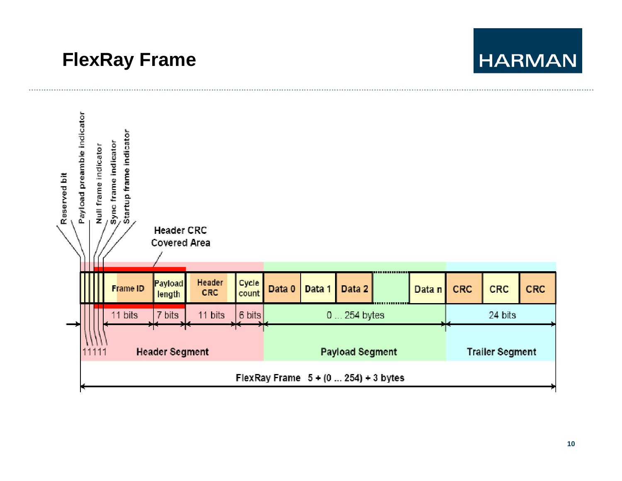# **FlexRay Frame**

# **HARMAN**

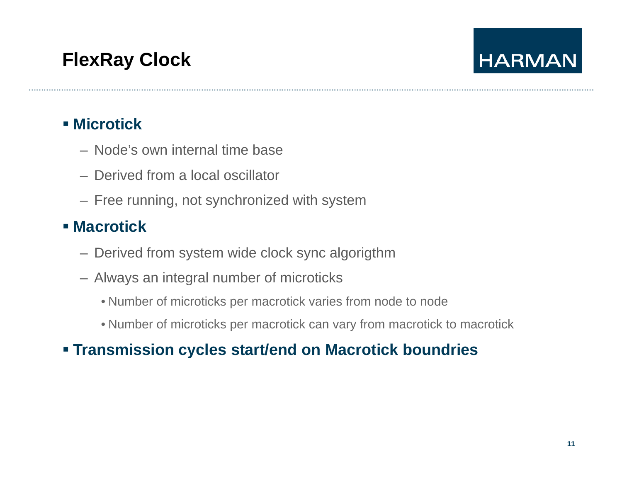# **FlexRay Clock**

# **HARMAN**

#### **Microtick**

- Node's own internal time base
- Derived from a local oscillator
- Free running, not synchronized with system

#### **Macrotick**

- Derived from system wide clock sync algorigthm
- Always an integral number of microticks
	- Number of microticks per macrotick varies from node to node
	- Number of microticks per macrotick can vary from macrotick to macrotick

#### **Transmission cycles start/end on Macrotick boundries**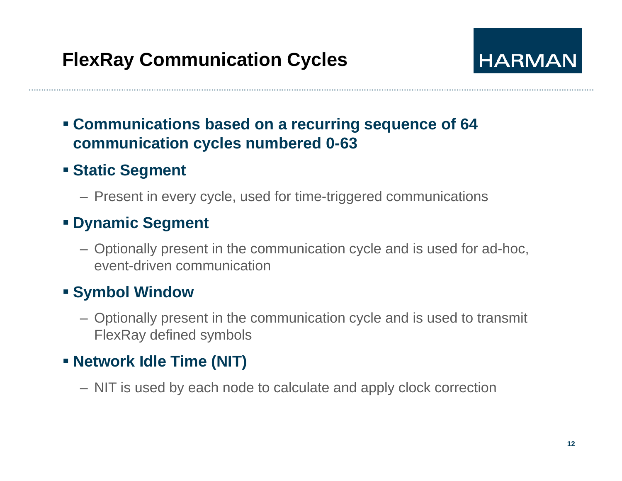

#### **Communications based on a recurring sequence of 64 communication c ycles numbered 0-63**

#### **Exatic Segment**

– Present in every cycle, used for time-triggered communications

#### **Dynamic Segment**

– Optionally present in the communication cycle and is used for ad-hoc, event-driven communication

#### **Symbol Window**

– Optionally present in the communication cycle and is used to transmit FlexRay defined symbols

#### **Network Idle Time (NIT)**

– NIT is used by each node to calculate and apply clock correction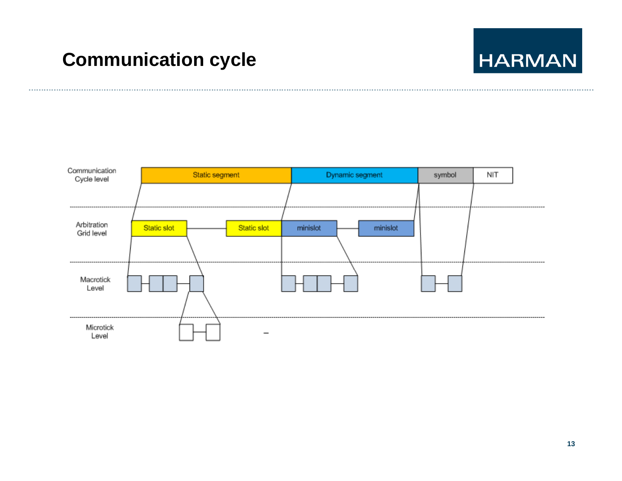## **Communication cycle**

# **HARMAN**

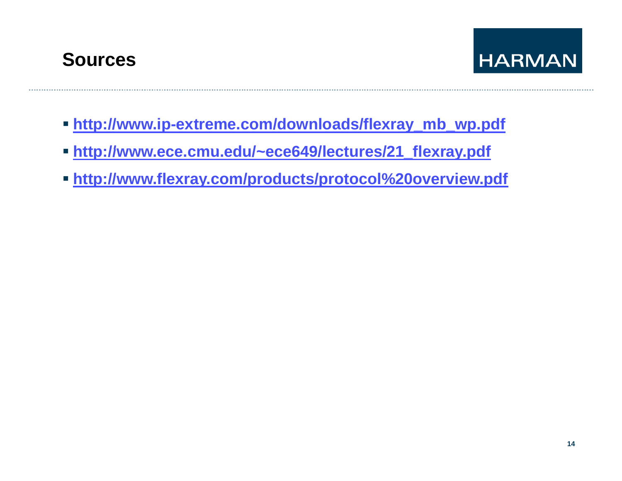



- **http://www.ip-extreme.com/downloads/flexray\_mb\_wp.pdf**
- **http://www ece cmu edu/ ece649/lectures/21 flexray pdf http://www.ece.cmu.edu/~ece649/lectures/21\_flexray.pdf**
- **http://www.flexray.com/products/protocol%20overview.pdf**